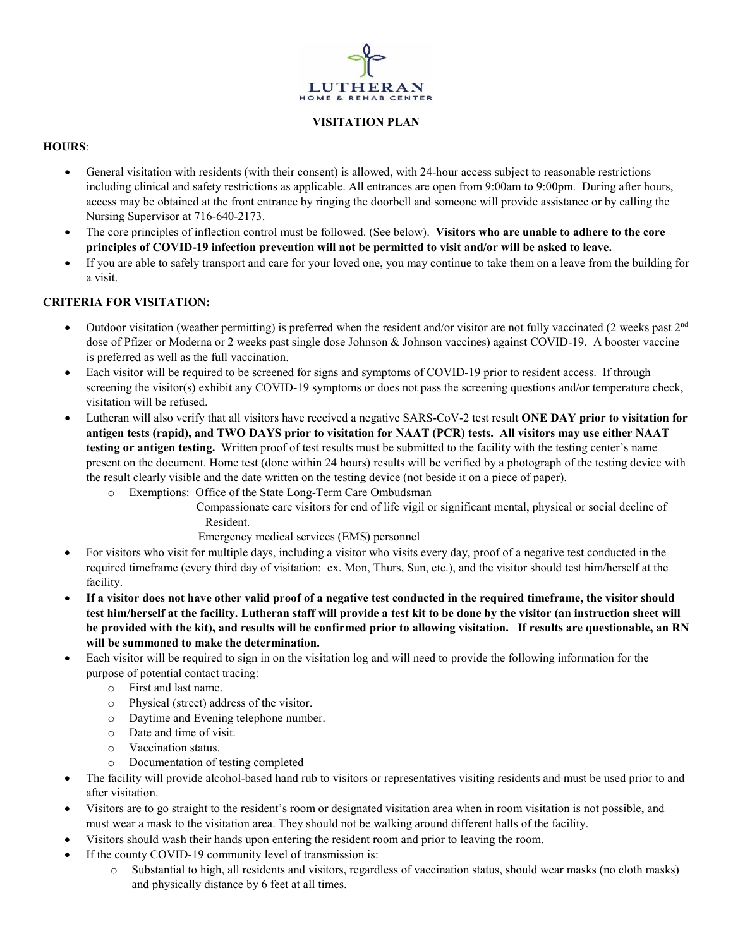

### **VISITATION PLAN**

## **HOURS**:

- General visitation with residents (with their consent) is allowed, with 24-hour access subject to reasonable restrictions including clinical and safety restrictions as applicable. All entrances are open from 9:00am to 9:00pm. During after hours, access may be obtained at the front entrance by ringing the doorbell and someone will provide assistance or by calling the Nursing Supervisor at 716-640-2173.
- The core principles of inflection control must be followed. (See below). **Visitors who are unable to adhere to the core principles of COVID-19 infection prevention will not be permitted to visit and/or will be asked to leave.**
- If you are able to safely transport and care for your loved one, you may continue to take them on a leave from the building for a visit.

# **CRITERIA FOR VISITATION:**

- Outdoor visitation (weather permitting) is preferred when the resident and/or visitor are not fully vaccinated (2 weeks past  $2<sup>nd</sup>$ dose of Pfizer or Moderna or 2 weeks past single dose Johnson & Johnson vaccines) against COVID-19. A booster vaccine is preferred as well as the full vaccination.
- Each visitor will be required to be screened for signs and symptoms of COVID-19 prior to resident access. If through screening the visitor(s) exhibit any COVID-19 symptoms or does not pass the screening questions and/or temperature check, visitation will be refused.
- Lutheran will also verify that all visitors have received a negative SARS-CoV-2 test result **ONE DAY prior to visitation for antigen tests (rapid), and TWO DAYS prior to visitation for NAAT (PCR) tests. All visitors may use either NAAT testing or antigen testing.** Written proof of test results must be submitted to the facility with the testing center's name present on the document. Home test (done within 24 hours) results will be verified by a photograph of the testing device with the result clearly visible and the date written on the testing device (not beside it on a piece of paper).
	- o Exemptions: Office of the State Long-Term Care Ombudsman
		- Compassionate care visitors for end of life vigil or significant mental, physical or social decline of Resident.
			- Emergency medical services (EMS) personnel
- For visitors who visit for multiple days, including a visitor who visits every day, proof of a negative test conducted in the required timeframe (every third day of visitation: ex. Mon, Thurs, Sun, etc.), and the visitor should test him/herself at the facility.
- **If a visitor does not have other valid proof of a negative test conducted in the required timeframe, the visitor should test him/herself at the facility. Lutheran staff will provide a test kit to be done by the visitor (an instruction sheet will be provided with the kit), and results will be confirmed prior to allowing visitation. If results are questionable, an RN will be summoned to make the determination.**
- Each visitor will be required to sign in on the visitation log and will need to provide the following information for the purpose of potential contact tracing:
	- o First and last name.
	- o Physical (street) address of the visitor.
	- o Daytime and Evening telephone number.
	- o Date and time of visit.
	- o Vaccination status.
	- o Documentation of testing completed
- The facility will provide alcohol-based hand rub to visitors or representatives visiting residents and must be used prior to and after visitation.
- Visitors are to go straight to the resident's room or designated visitation area when in room visitation is not possible, and must wear a mask to the visitation area. They should not be walking around different halls of the facility.
- Visitors should wash their hands upon entering the resident room and prior to leaving the room.
- If the county COVID-19 community level of transmission is:
	- o Substantial to high, all residents and visitors, regardless of vaccination status, should wear masks (no cloth masks) and physically distance by 6 feet at all times.